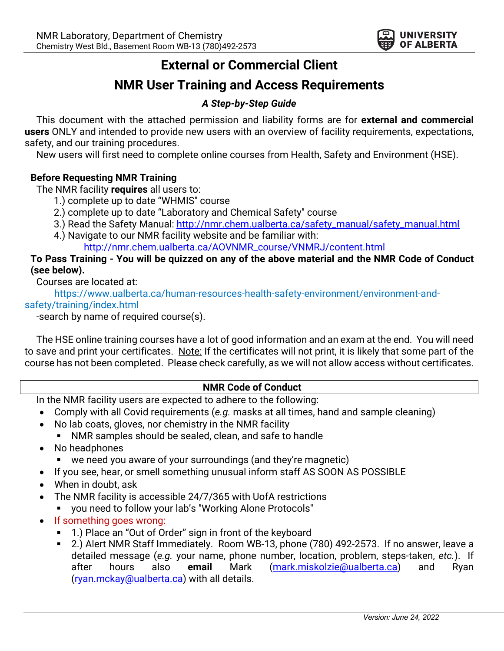

# **External or Commercial Client**

## **NMR User Training and Access Requirements**

## *A Step-by-Step Guide*

This document with the attached permission and liability forms are for **external and commercial users** ONLY and intended to provide new users with an overview of facility requirements, expectations, safety, and our training procedures.

New users will first need to complete online courses from Health, Safety and Environment (HSE).

## **Before Requesting NMR Training**

The NMR facility **requires** all users to:

- 1.) complete up to date "WHMIS" course
- 2.) complete up to date "Laboratory and Chemical Safety" course
- 3.) Read the Safety Manual: http://nmr.chem.ualberta.ca/safety\_manual/safety\_manual.html
- 4.) Navigate to our NMR facility website and be familiar with: http://nmr.chem.ualberta.ca/AOVNMR\_course/VNMRJ/content.html

## **To Pass Training - You will be quizzed on any of the above material and the NMR Code of Conduct (see below).**

Courses are located at:

https://www.ualberta.ca/human-resources-health-safety-environment/environment-andsafety/training/index.html

-search by name of required course(s).

The HSE online training courses have a lot of good information and an exam at the end. You will need to save and print your certificates. Note: If the certificates will not print, it is likely that some part of the course has not been completed. Please check carefully, as we will not allow access without certificates.

## **NMR Code of Conduct**

In the NMR facility users are expected to adhere to the following:

- Comply with all Covid requirements (*e.g.* masks at all times, hand and sample cleaning)
- No lab coats, gloves, nor chemistry in the NMR facility
	- § NMR samples should be sealed, clean, and safe to handle
- No headphones
	- we need you aware of your surroundings (and they're magnetic)
- If you see, hear, or smell something unusual inform staff AS SOON AS POSSIBLE
- When in doubt, ask
- The NMR facility is accessible 24/7/365 with UofA restrictions
	- you need to follow your lab's "Working Alone Protocols"
- If something goes wrong:
	- 1.) Place an "Out of Order" sign in front of the keyboard
	- 2.) Alert NMR Staff Immediately. Room WB-13, phone (780) 492-2573. If no answer, leave a detailed message (*e.g.* your name, phone number, location, problem, steps-taken, *etc.*). If after hours also **email** Mark (mark.miskolzie@ualberta.ca) and Ryan (ryan.mckay@ualberta.ca) with all details.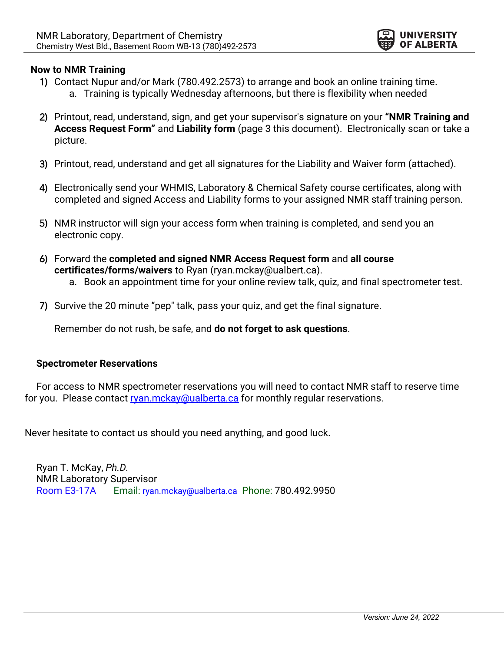

## **Now to NMR Training**

- 1) Contact Nupur and/or Mark (780.492.2573) to arrange and book an online training time. a. Training is typically Wednesday afternoons, but there is flexibility when needed
- 2) Printout, read, understand, sign, and get your supervisor's signature on your **"NMR Training and Access Request Form"** and **Liability form** (page 3 this document). Electronically scan or take a picture.
- 3) Printout, read, understand and get all signatures for the Liability and Waiver form (attached).
- 4) Electronically send your WHMIS, Laboratory & Chemical Safety course certificates, along with completed and signed Access and Liability forms to your assigned NMR staff training person.
- 5) NMR instructor will sign your access form when training is completed, and send you an electronic copy.
- 6) Forward the **completed and signed NMR Access Request form** and **all course certificates/forms/waivers** to Ryan (ryan.mckay@ualbert.ca). a. Book an appointment time for your online review talk, quiz, and final spectrometer test.
- 7) Survive the 20 minute "pep" talk, pass your quiz, and get the final signature.

Remember do not rush, be safe, and **do not forget to ask questions**.

## **Spectrometer Reservations**

For access to NMR spectrometer reservations you will need to contact NMR staff to reserve time for you. Please contact ryan.mckay@ualberta.ca for monthly regular reservations.

Never hesitate to contact us should you need anything, and good luck.

Ryan T. McKay, *Ph.D.* NMR Laboratory Supervisor Room E3-17A Email: ryan.mckay@ualberta.ca Phone: 780.492.9950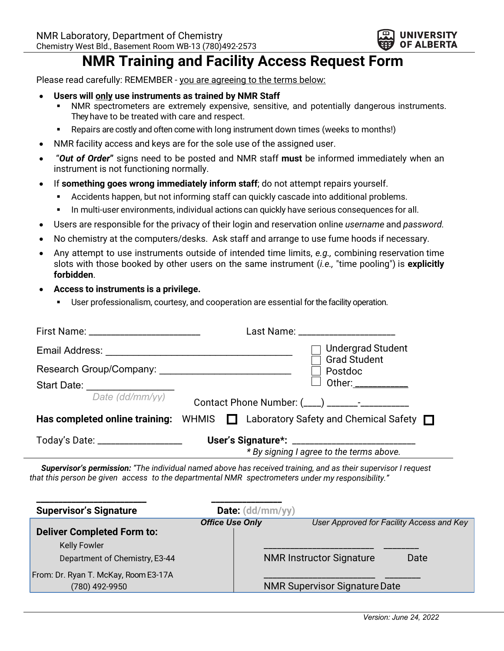

# **NMR Training and Facility Access Request Form**

Please read carefully: REMEMBER - you are agreeing to the terms below:

- **Users will only use instruments as trained by NMR Staff**
	- NMR spectrometers are extremely expensive, sensitive, and potentially dangerous instruments. They have to be treated with care and respect.
	- § Repairs are costly and often come with long instrument down times (weeks to months!)
- NMR facility access and keys are for the sole use of the assigned user.
- "*Out of Order***"** signs need to be posted and NMR staff **must** be informed immediately when an instrument is not functioning normally.
- If **something goes wrong immediately inform staff**; do not attempt repairs yourself.
	- **•** Accidents happen, but not informing staff can quickly cascade into additional problems.
	- **In multi-user environments, individual actions can quickly have serious consequences for all.**
- Users are responsible for the privacy of their login and reservation online *username* and *password.*
- No chemistry at the computers/desks. Ask staff and arrange to use fume hoods if necessary.
- Any attempt to use instruments outside of intended time limits, *e.g.,* combining reservation time slots with those booked by other users on the same instrument (*i.e.,* "time pooling") is **explicitly forbidden**.
- **Access to instruments is a privilege.**
	- User professionalism, courtesy, and cooperation are essential for the facility operation.

|                                    | Last Name: _______________________                                                       |  |  |
|------------------------------------|------------------------------------------------------------------------------------------|--|--|
|                                    | $\sqsupset$ Undergrad Student<br><b>Grad Student</b>                                     |  |  |
|                                    | $\Box$ Postdoc                                                                           |  |  |
| Start Date: _________________      | Other: ___________                                                                       |  |  |
| Date (dd/mm/yy)                    |                                                                                          |  |  |
|                                    | Has completed online training: WHMIS $\Box$ Laboratory Safety and Chemical Safety $\Box$ |  |  |
| Today's Date: ____________________ | * By signing I agree to the terms above.                                                 |  |  |

*Supervisor's permission: "The individual named above has received training, and as their supervisor I request that this person be given access to the departmental NMR spectrometers under my responsibility."*

| <b>Supervisor's Signature</b>                          | Date: (dd/mm/yy)       |                                           |
|--------------------------------------------------------|------------------------|-------------------------------------------|
| <b>Deliver Completed Form to:</b>                      | <b>Office Use Only</b> | User Approved for Facility Access and Key |
| <b>Kelly Fowler</b><br>Department of Chemistry, E3-44  |                        | <b>NMR Instructor Signature</b><br>Date   |
| From: Dr. Ryan T. McKay, Room E3-17A<br>(780) 492-9950 |                        | <b>NMR Supervisor Signature Date</b>      |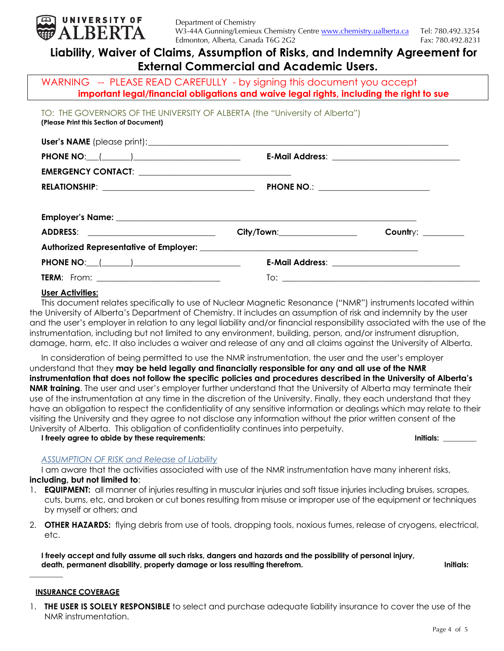

## **Liability, Waiver of Claims, Assumption of Risks, and Indemnity Agreement for External Commercial and Academic Users.**

WARNING -- PLEASE READ CAREFULLY - by signing this document you accept **important legal/financial obligations and waive legal rights, including the right to sue**

TO: THE GOVERNORS OF THE UNIVERSITY OF ALBERTA (the "University of Alberta") **(Please Print this Section of Document)**

|                                           | E-Mail Address: _______________________________ |                                                 |  |  |  |
|-------------------------------------------|-------------------------------------------------|-------------------------------------------------|--|--|--|
|                                           |                                                 |                                                 |  |  |  |
|                                           | PHONE NO.: _________________________            |                                                 |  |  |  |
|                                           |                                                 |                                                 |  |  |  |
|                                           |                                                 |                                                 |  |  |  |
|                                           | City/Town:___________________                   | Country: ________                               |  |  |  |
|                                           |                                                 |                                                 |  |  |  |
| PHONE NO: $\qquad \qquad$ $\qquad \qquad$ |                                                 | E-Mail Address: _______________________________ |  |  |  |
|                                           |                                                 |                                                 |  |  |  |

### **User Activities:**

This document relates specifically to use of Nuclear Magnetic Resonance ("NMR") instruments located within the University of Alberta's Department of Chemistry. It includes an assumption of risk and indemnity by the user and the user's employer in relation to any legal liability and/or financial responsibility associated with the use of the instrumentation, including but not limited to any environment, building, person, and/or instrument disruption, damage, harm, etc. It also includes a waiver and release of any and all claims against the University of Alberta.

In consideration of being permitted to use the NMR instrumentation, the user and the user's employer understand that they **may be held legally and financially responsible for any and all use of the NMR instrumentation that does not follow the specific policies and procedures described in the University of Alberta's NMR training**. The user and user's employer further understand that the University of Alberta may terminate their use of the instrumentation at any time in the discretion of the University. Finally, they each understand that they have an obligation to respect the confidentiality of any sensitive information or dealings which may relate to their visiting the University and they agree to not disclose any information without the prior written consent of the University of Alberta. This obligation of confidentiality continues into perpetuity.

**I freely agree to abide by these requirements: Initials: \_\_\_\_\_\_\_\_\_**

### *ASSUMPTION OF RISK and Release of Liability*

I am aware that the activities associated with use of the NMR instrumentation have many inherent risks, **including, but not limited to**:

- 1. **EQUIPMENT:** all manner of injuries resulting in muscular injuries and soft tissue injuries including bruises, scrapes, cuts, burns, etc, and broken or cut bones resulting from misuse or improper use of the equipment or techniques by myself or others; and
- 2. **OTHER HAZARDS:** flying debris from use of tools, dropping tools, noxious fumes, release of cryogens, electrical, etc.

**I freely accept and fully assume all such risks, dangers and hazards and the possibility of personal injury,**  death, permanent disability, property damage or loss resulting therefrom. **Initials:** *Initials:* 

### **INSURANCE COVERAGE**

**\_\_\_\_\_\_\_\_\_**

1. **THE USER IS SOLELY RESPONSIBLE** to select and purchase adequate liability insurance to cover the use of the NMR instrumentation.